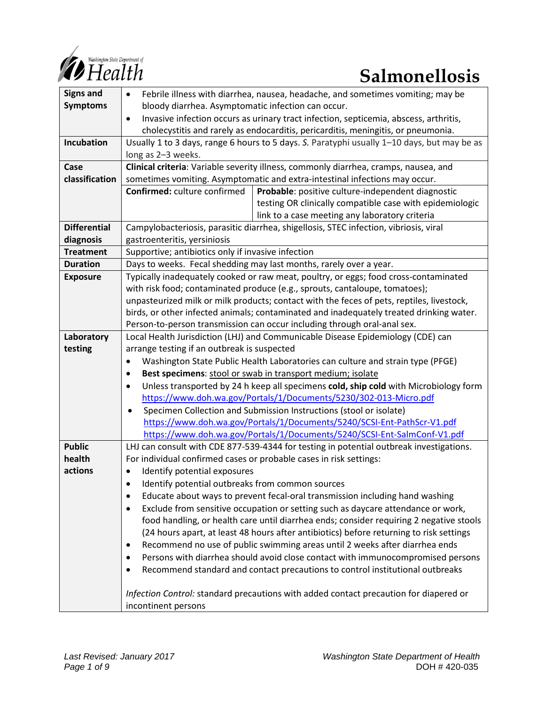

| <b>Signs and</b>    | Febrile illness with diarrhea, nausea, headache, and sometimes vomiting; may be<br>$\bullet$       |
|---------------------|----------------------------------------------------------------------------------------------------|
| <b>Symptoms</b>     | bloody diarrhea. Asymptomatic infection can occur.                                                 |
|                     | Invasive infection occurs as urinary tract infection, septicemia, abscess, arthritis,<br>$\bullet$ |
|                     | cholecystitis and rarely as endocarditis, pericarditis, meningitis, or pneumonia.                  |
| Incubation          | Usually 1 to 3 days, range 6 hours to 5 days. S. Paratyphi usually 1-10 days, but may be as        |
|                     | long as 2-3 weeks.                                                                                 |
| Case                | Clinical criteria: Variable severity illness, commonly diarrhea, cramps, nausea, and               |
| classification      | sometimes vomiting. Asymptomatic and extra-intestinal infections may occur.                        |
|                     | Confirmed: culture confirmed<br>Probable: positive culture-independent diagnostic                  |
|                     | testing OR clinically compatible case with epidemiologic                                           |
|                     | link to a case meeting any laboratory criteria                                                     |
| <b>Differential</b> | Campylobacteriosis, parasitic diarrhea, shigellosis, STEC infection, vibriosis, viral              |
| diagnosis           | gastroenteritis, yersiniosis                                                                       |
| <b>Treatment</b>    | Supportive; antibiotics only if invasive infection                                                 |
| <b>Duration</b>     | Days to weeks. Fecal shedding may last months, rarely over a year.                                 |
| <b>Exposure</b>     | Typically inadequately cooked or raw meat, poultry, or eggs; food cross-contaminated               |
|                     | with risk food; contaminated produce (e.g., sprouts, cantaloupe, tomatoes);                        |
|                     | unpasteurized milk or milk products; contact with the feces of pets, reptiles, livestock,          |
|                     | birds, or other infected animals; contaminated and inadequately treated drinking water.            |
|                     | Person-to-person transmission can occur including through oral-anal sex.                           |
| Laboratory          | Local Health Jurisdiction (LHJ) and Communicable Disease Epidemiology (CDE) can                    |
| testing             | arrange testing if an outbreak is suspected                                                        |
|                     | Washington State Public Health Laboratories can culture and strain type (PFGE)<br>$\bullet$        |
|                     | Best specimens: stool or swab in transport medium; isolate<br>$\bullet$                            |
|                     | Unless transported by 24 h keep all specimens cold, ship cold with Microbiology form<br>$\bullet$  |
|                     | https://www.doh.wa.gov/Portals/1/Documents/5230/302-013-Micro.pdf                                  |
|                     | Specimen Collection and Submission Instructions (stool or isolate)<br>$\bullet$                    |
|                     | https://www.doh.wa.gov/Portals/1/Documents/5240/SCSI-Ent-PathScr-V1.pdf                            |
|                     | https://www.doh.wa.gov/Portals/1/Documents/5240/SCSI-Ent-SalmConf-V1.pdf                           |
| <b>Public</b>       | LHJ can consult with CDE 877-539-4344 for testing in potential outbreak investigations.            |
| health              | For individual confirmed cases or probable cases in risk settings:                                 |
| actions             | Identify potential exposures                                                                       |
|                     | Identify potential outbreaks from common sources                                                   |
|                     | Educate about ways to prevent fecal-oral transmission including hand washing<br>٠                  |
|                     | Exclude from sensitive occupation or setting such as daycare attendance or work,                   |
|                     | food handling, or health care until diarrhea ends; consider requiring 2 negative stools            |
|                     | (24 hours apart, at least 48 hours after antibiotics) before returning to risk settings            |
|                     | Recommend no use of public swimming areas until 2 weeks after diarrhea ends<br>٠                   |
|                     | Persons with diarrhea should avoid close contact with immunocompromised persons<br>٠               |
|                     | Recommend standard and contact precautions to control institutional outbreaks<br>٠                 |
|                     |                                                                                                    |
|                     | Infection Control: standard precautions with added contact precaution for diapered or              |
|                     | incontinent persons                                                                                |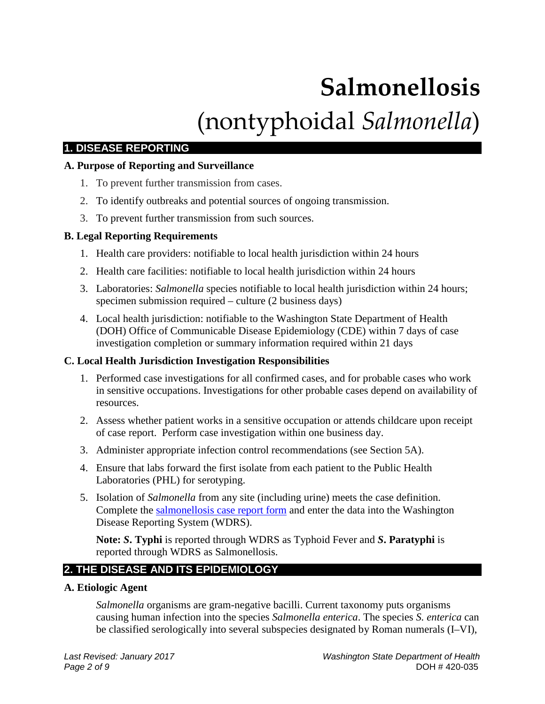# **Salmonellosis** (nontyphoidal *Salmonella*)

# **1. DISEASE REPORTING**

#### **A. Purpose of Reporting and Surveillance**

- 1. To prevent further transmission from cases.
- 2. To identify outbreaks and potential sources of ongoing transmission.
- 3. To prevent further transmission from such sources.

## **B. Legal Reporting Requirements**

- 1. Health care providers: notifiable to local health jurisdiction within 24 hours
- 2. Health care facilities: notifiable to local health jurisdiction within 24 hours
- 3. Laboratories: *Salmonella* species notifiable to local health jurisdiction within 24 hours; specimen submission required – culture (2 business days)
- 4. Local health jurisdiction: notifiable to the Washington State Department of Health (DOH) Office of Communicable Disease Epidemiology (CDE) within 7 days of case investigation completion or summary information required within 21 days

#### **C. Local Health Jurisdiction Investigation Responsibilities**

- 1. Performed case investigations for all confirmed cases, and for probable cases who work in sensitive occupations. Investigations for other probable cases depend on availability of resources.
- 2. Assess whether patient works in a sensitive occupation or attends childcare upon receipt of case report. Perform case investigation within one business day.
- 3. Administer appropriate infection control recommendations (see Section 5A).
- 4. Ensure that labs forward the first isolate from each patient to the Public Health Laboratories (PHL) for serotyping.
- 5. Isolation of *Salmonella* from any site (including urine) meets the case definition. Complete the [salmonellosis case report form](https://www.doh.wa.gov/Portals/1/Documents/5100/210-046-ReportForm-Salmonella.pdf) and enter the data into the Washington Disease Reporting System (WDRS).

**Note:** *S***. Typhi** is reported through WDRS as Typhoid Fever and *S***. Paratyphi** is reported through WDRS as Salmonellosis.

# **2. THE DISEASE AND ITS EPIDEMIOLOGY**

#### **A. Etiologic Agent**

*Salmonella* organisms are gram-negative bacilli. Current taxonomy puts organisms causing human infection into the species *Salmonella enterica*. The species *S. enterica* can be classified serologically into several subspecies designated by Roman numerals (I–VI),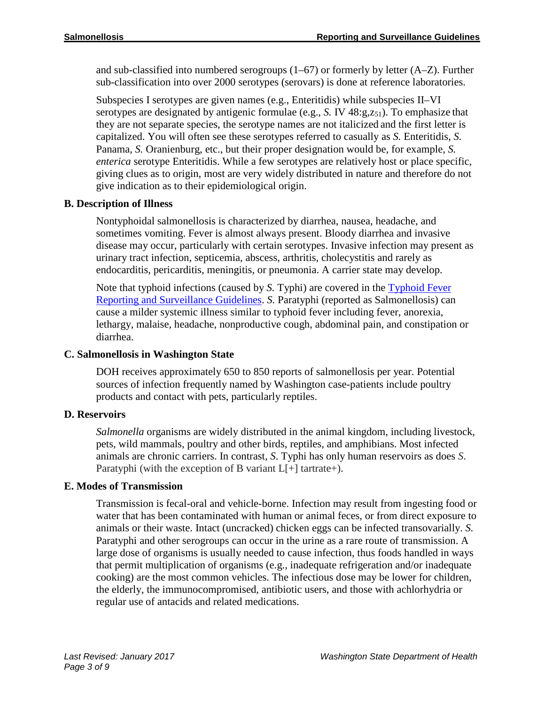and sub-classified into numbered serogroups  $(1-67)$  or formerly by letter  $(A-Z)$ . Further sub-classification into over 2000 serotypes (serovars) is done at reference laboratories.

Subspecies I serotypes are given names (e.g., Enteritidis) while subspecies II–VI serotypes are designated by antigenic formulae (e.g.,  $S$ . IV  $48:g,z_{51}$ ). To emphasize that they are not separate species, the serotype names are not italicized and the first letter is capitalized. You will often see these serotypes referred to casually as *S.* Enteritidis, *S.*  Panama, *S.* Oranienburg, etc., but their proper designation would be, for example, *S. enterica* serotype Enteritidis. While a few serotypes are relatively host or place specific, giving clues as to origin, most are very widely distributed in nature and therefore do not give indication as to their epidemiological origin.

#### **B. Description of Illness**

Nontyphoidal salmonellosis is characterized by diarrhea, nausea, headache, and sometimes vomiting. Fever is almost always present. Bloody diarrhea and invasive disease may occur, particularly with certain serotypes. Invasive infection may present as urinary tract infection, septicemia, abscess, arthritis, cholecystitis and rarely as endocarditis, pericarditis, meningitis, or pneumonia. A carrier state may develop.

Note that typhoid infections (caused by *S.* Typhi) are covered in the [Typhoid Fever](https://www.doh.wa.gov/Portals/1/Documents/5100/420-083-Guideline-Typhoid.pdf)  [Reporting and Surveillance Guidelines.](https://www.doh.wa.gov/Portals/1/Documents/5100/420-083-Guideline-Typhoid.pdf) *S.* Paratyphi (reported as Salmonellosis) can cause a milder systemic illness similar to typhoid fever including fever, anorexia, lethargy, malaise, headache, nonproductive cough, abdominal pain, and constipation or diarrhea.

#### **C. Salmonellosis in Washington State**

DOH receives approximately 650 to 850 reports of salmonellosis per year. Potential sources of infection frequently named by Washington case-patients include poultry products and contact with pets, particularly reptiles.

#### **D. Reservoirs**

*Salmonella* organisms are widely distributed in the animal kingdom, including livestock, pets, wild mammals, poultry and other birds, reptiles, and amphibians. Most infected animals are chronic carriers. In contrast, *S*. Typhi has only human reservoirs as does *S*. Paratyphi (with the exception of B variant  $L[+]$  tartrate+).

#### **E. Modes of Transmission**

Transmission is fecal-oral and vehicle-borne. Infection may result from ingesting food or water that has been contaminated with human or animal feces, or from direct exposure to animals or their waste. Intact (uncracked) chicken eggs can be infected transovarially. *S.*  Paratyphi and other serogroups can occur in the urine as a rare route of transmission. A large dose of organisms is usually needed to cause infection, thus foods handled in ways that permit multiplication of organisms (e.g., inadequate refrigeration and/or inadequate cooking) are the most common vehicles. The infectious dose may be lower for children, the elderly, the immunocompromised, antibiotic users, and those with achlorhydria or regular use of antacids and related medications.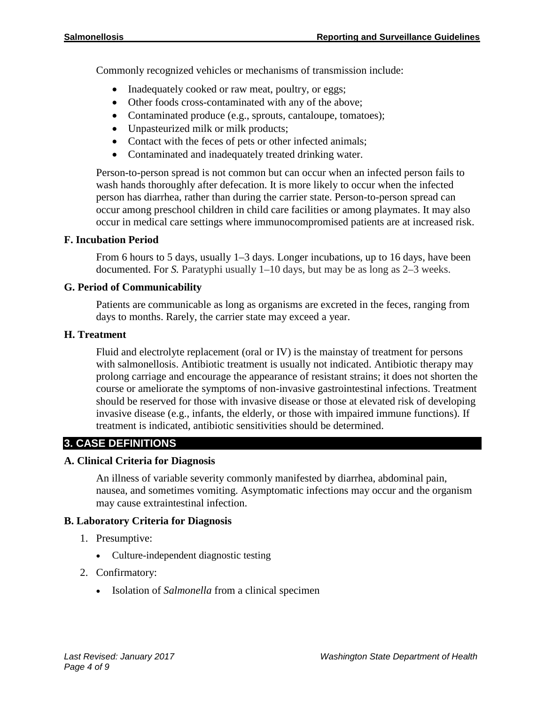Commonly recognized vehicles or mechanisms of transmission include:

- Inadequately cooked or raw meat, poultry, or eggs;
- Other foods cross-contaminated with any of the above;
- Contaminated produce (e.g., sprouts, cantaloupe, tomatoes);
- Unpasteurized milk or milk products;
- Contact with the feces of pets or other infected animals;
- Contaminated and inadequately treated drinking water.

Person-to-person spread is not common but can occur when an infected person fails to wash hands thoroughly after defecation. It is more likely to occur when the infected person has diarrhea, rather than during the carrier state. Person-to-person spread can occur among preschool children in child care facilities or among playmates. It may also occur in medical care settings where immunocompromised patients are at increased risk.

#### **F. Incubation Period**

From 6 hours to 5 days, usually 1–3 days. Longer incubations, up to 16 days, have been documented. For *S.* Paratyphi usually 1–10 days, but may be as long as 2–3 weeks.

#### **G. Period of Communicability**

Patients are communicable as long as organisms are excreted in the feces, ranging from days to months. Rarely, the carrier state may exceed a year.

#### **H. Treatment**

Fluid and electrolyte replacement (oral or IV) is the mainstay of treatment for persons with salmonellosis. Antibiotic treatment is usually not indicated. Antibiotic therapy may prolong carriage and encourage the appearance of resistant strains; it does not shorten the course or ameliorate the symptoms of non-invasive gastrointestinal infections. Treatment should be reserved for those with invasive disease or those at elevated risk of developing invasive disease (e.g., infants, the elderly, or those with impaired immune functions). If treatment is indicated, antibiotic sensitivities should be determined.

#### **3. CASE DEFINITIONS**

#### **A. Clinical Criteria for Diagnosis**

An illness of variable severity commonly manifested by diarrhea, abdominal pain, nausea, and sometimes vomiting. Asymptomatic infections may occur and the organism may cause extraintestinal infection.

#### **B. Laboratory Criteria for Diagnosis**

- 1. Presumptive:
	- Culture-independent diagnostic testing
- 2. Confirmatory:
	- Isolation of *Salmonella* from a clinical specimen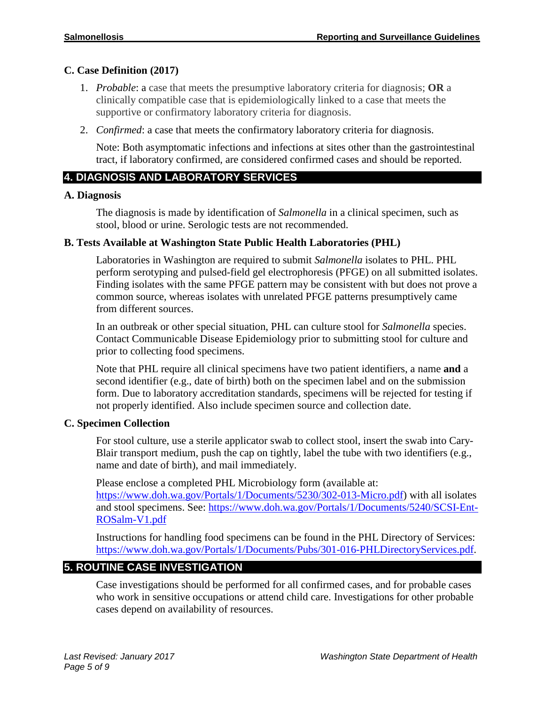#### **C. Case Definition (2017)**

- 1. *Probable*: a case that meets the presumptive laboratory criteria for diagnosis; **OR** a clinically compatible case that is epidemiologically linked to a case that meets the supportive or confirmatory laboratory criteria for diagnosis.
- 2. *Confirmed*: a case that meets the confirmatory laboratory criteria for diagnosis.

Note: Both asymptomatic infections and infections at sites other than the gastrointestinal tract, if laboratory confirmed, are considered confirmed cases and should be reported.

## **4. DIAGNOSIS AND LABORATORY SERVICES**

#### **A. Diagnosis**

The diagnosis is made by identification of *Salmonella* in a clinical specimen, such as stool, blood or urine. Serologic tests are not recommended.

#### **B. Tests Available at Washington State Public Health Laboratories (PHL)**

Laboratories in Washington are required to submit *Salmonella* isolates to PHL. PHL perform serotyping and pulsed-field gel electrophoresis (PFGE) on all submitted isolates. Finding isolates with the same PFGE pattern may be consistent with but does not prove a common source, whereas isolates with unrelated PFGE patterns presumptively came from different sources.

In an outbreak or other special situation, PHL can culture stool for *Salmonella* species. Contact Communicable Disease Epidemiology prior to submitting stool for culture and prior to collecting food specimens.

Note that PHL require all clinical specimens have two patient identifiers, a name **and** a second identifier (e.g., date of birth) both on the specimen label and on the submission form. Due to laboratory accreditation standards, specimens will be rejected for testing if not properly identified. Also include specimen source and collection date.

#### **C. Specimen Collection**

For stool culture, use a sterile applicator swab to collect stool, insert the swab into Cary-Blair transport medium, push the cap on tightly, label the tube with two identifiers (e.g., name and date of birth), and mail immediately.

Please enclose a completed PHL Microbiology form (available at: [https://www.doh.wa.gov/Portals/1/Documents/5230/302-013-Micro.pdf\)](https://www.doh.wa.gov/Portals/1/Documents/5230/302-013-Micro.pdf) with all isolates and stool specimens. See: [https://www.doh.wa.gov/Portals/1/Documents/5240/SCSI-Ent-](https://www.doh.wa.gov/Portals/1/Documents/5240/SCSI-Ent-ROSalm-V1.pdf)[ROSalm-V1.pdf](https://www.doh.wa.gov/Portals/1/Documents/5240/SCSI-Ent-ROSalm-V1.pdf)

Instructions for handling food specimens can be found in the PHL Directory of Services: [https://www.doh.wa.gov/Portals/1/Documents/Pubs/301-016-PHLDirectoryServices.pdf.](https://www.doh.wa.gov/Portals/1/Documents/Pubs/301-016-PHLDirectoryServices.pdf)

# **5. ROUTINE CASE INVESTIGATION**

Case investigations should be performed for all confirmed cases, and for probable cases who work in sensitive occupations or attend child care. Investigations for other probable cases depend on availability of resources.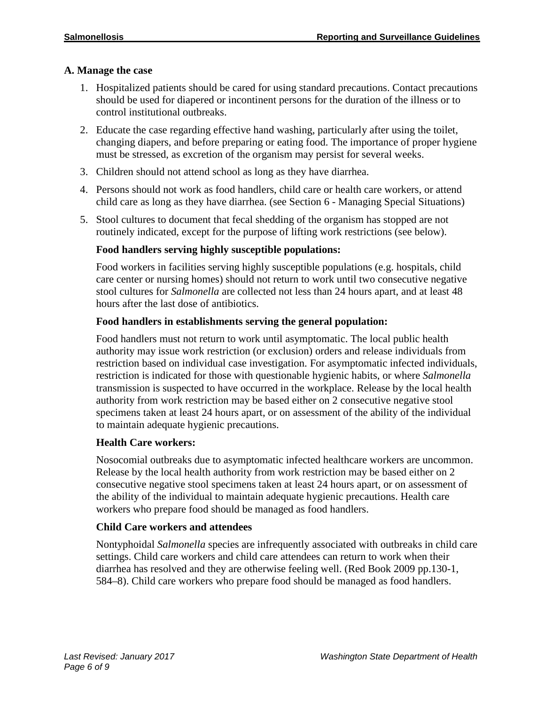#### **A. Manage the case**

- 1. Hospitalized patients should be cared for using standard precautions. Contact precautions should be used for diapered or incontinent persons for the duration of the illness or to control institutional outbreaks.
- 2. Educate the case regarding effective hand washing, particularly after using the toilet, changing diapers, and before preparing or eating food. The importance of proper hygiene must be stressed, as excretion of the organism may persist for several weeks.
- 3. Children should not attend school as long as they have diarrhea.
- 4. Persons should not work as food handlers, child care or health care workers, or attend child care as long as they have diarrhea. (see Section 6 - Managing Special Situations)
- 5. Stool cultures to document that fecal shedding of the organism has stopped are not routinely indicated, except for the purpose of lifting work restrictions (see below).

#### **Food handlers serving highly susceptible populations:**

Food workers in facilities serving highly susceptible populations (e.g. hospitals, child care center or nursing homes) should not return to work until two consecutive negative stool cultures for *Salmonella* are collected not less than 24 hours apart, and at least 48 hours after the last dose of antibiotics.

#### **Food handlers in establishments serving the general population:**

Food handlers must not return to work until asymptomatic. The local public health authority may issue work restriction (or exclusion) orders and release individuals from restriction based on individual case investigation. For asymptomatic infected individuals, restriction is indicated for those with questionable hygienic habits, or where *Salmonella* transmission is suspected to have occurred in the workplace. Release by the local health authority from work restriction may be based either on 2 consecutive negative stool specimens taken at least 24 hours apart, or on assessment of the ability of the individual to maintain adequate hygienic precautions.

#### **Health Care workers:**

Nosocomial outbreaks due to asymptomatic infected healthcare workers are uncommon. Release by the local health authority from work restriction may be based either on 2 consecutive negative stool specimens taken at least 24 hours apart, or on assessment of the ability of the individual to maintain adequate hygienic precautions. Health care workers who prepare food should be managed as food handlers.

#### **Child Care workers and attendees**

Nontyphoidal *Salmonella* species are infrequently associated with outbreaks in child care settings. Child care workers and child care attendees can return to work when their diarrhea has resolved and they are otherwise feeling well. (Red Book 2009 pp.130-1, 584–8). Child care workers who prepare food should be managed as food handlers.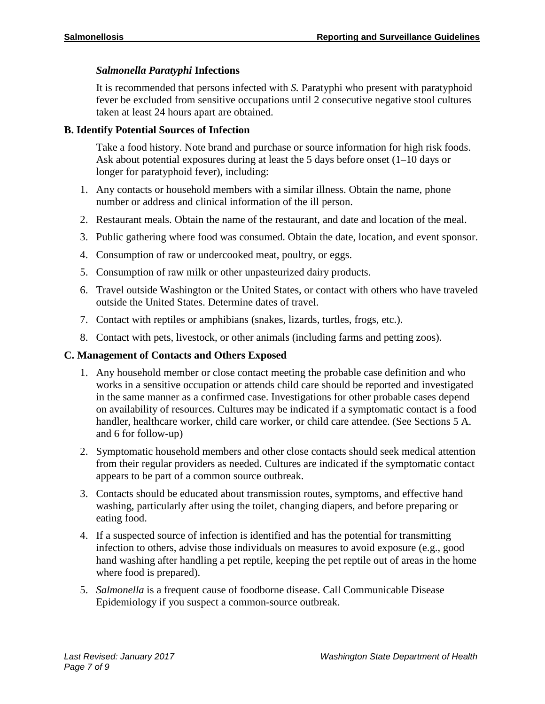### *Salmonella Paratyphi* **Infections**

It is recommended that persons infected with *S.* Paratyphi who present with paratyphoid fever be excluded from sensitive occupations until 2 consecutive negative stool cultures taken at least 24 hours apart are obtained.

#### **B. Identify Potential Sources of Infection**

Take a food history. Note brand and purchase or source information for high risk foods. Ask about potential exposures during at least the 5 days before onset (1–10 days or longer for paratyphoid fever), including:

- 1. Any contacts or household members with a similar illness. Obtain the name, phone number or address and clinical information of the ill person.
- 2. Restaurant meals. Obtain the name of the restaurant, and date and location of the meal.
- 3. Public gathering where food was consumed. Obtain the date, location, and event sponsor.
- 4. Consumption of raw or undercooked meat, poultry, or eggs.
- 5. Consumption of raw milk or other unpasteurized dairy products.
- 6. Travel outside Washington or the United States, or contact with others who have traveled outside the United States. Determine dates of travel.
- 7. Contact with reptiles or amphibians (snakes, lizards, turtles, frogs, etc.).
- 8. Contact with pets, livestock, or other animals (including farms and petting zoos).

#### **C. Management of Contacts and Others Exposed**

- 1. Any household member or close contact meeting the probable case definition and who works in a sensitive occupation or attends child care should be reported and investigated in the same manner as a confirmed case. Investigations for other probable cases depend on availability of resources. Cultures may be indicated if a symptomatic contact is a food handler, healthcare worker, child care worker, or child care attendee. (See Sections 5 A. and 6 for follow-up)
- 2. Symptomatic household members and other close contacts should seek medical attention from their regular providers as needed. Cultures are indicated if the symptomatic contact appears to be part of a common source outbreak.
- 3. Contacts should be educated about transmission routes, symptoms, and effective hand washing, particularly after using the toilet, changing diapers, and before preparing or eating food.
- 4. If a suspected source of infection is identified and has the potential for transmitting infection to others, advise those individuals on measures to avoid exposure (e.g., good hand washing after handling a pet reptile, keeping the pet reptile out of areas in the home where food is prepared).
- 5. *Salmonella* is a frequent cause of foodborne disease. Call Communicable Disease Epidemiology if you suspect a common-source outbreak.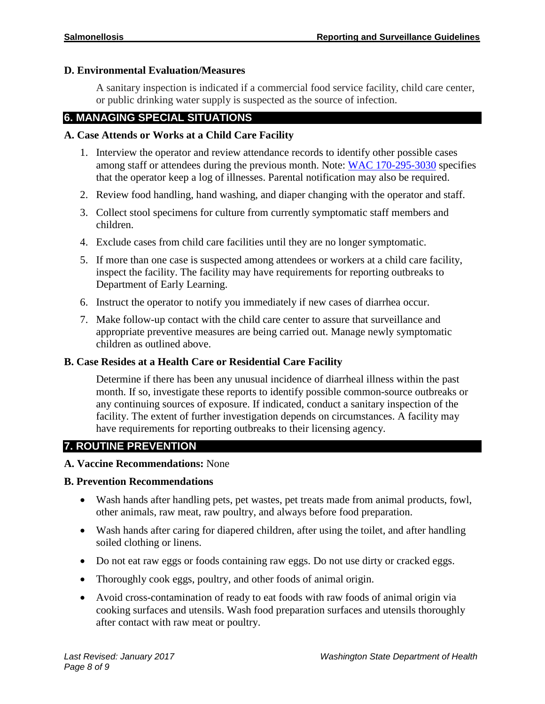#### **D. Environmental Evaluation/Measures**

A sanitary inspection is indicated if a commercial food service facility, child care center, or public drinking water supply is suspected as the source of infection.

#### **6. MANAGING SPECIAL SITUATIONS**

#### **A. Case Attends or Works at a Child Care Facility**

- 1. Interview the operator and review attendance records to identify other possible cases among staff or attendees during the previous month. Note: WAC [170-295-3030](https://app.leg.wa.gov/wac/default.aspx?cite=170-295-3030) specifies that the operator keep a log of illnesses. Parental notification may also be required.
- 2. Review food handling, hand washing, and diaper changing with the operator and staff.
- 3. Collect stool specimens for culture from currently symptomatic staff members and children.
- 4. Exclude cases from child care facilities until they are no longer symptomatic.
- 5. If more than one case is suspected among attendees or workers at a child care facility, inspect the facility. The facility may have requirements for reporting outbreaks to Department of Early Learning.
- 6. Instruct the operator to notify you immediately if new cases of diarrhea occur.
- 7. Make follow-up contact with the child care center to assure that surveillance and appropriate preventive measures are being carried out. Manage newly symptomatic children as outlined above.

#### **B. Case Resides at a Health Care or Residential Care Facility**

Determine if there has been any unusual incidence of diarrheal illness within the past month. If so, investigate these reports to identify possible common-source outbreaks or any continuing sources of exposure. If indicated, conduct a sanitary inspection of the facility. The extent of further investigation depends on circumstances. A facility may have requirements for reporting outbreaks to their licensing agency.

#### **7. ROUTINE PREVENTION**

#### **A. Vaccine Recommendations:** None

#### **B. Prevention Recommendations**

- Wash hands after handling pets, pet wastes, pet treats made from animal products, fowl, other animals, raw meat, raw poultry, and always before food preparation.
- Wash hands after caring for diapered children, after using the toilet, and after handling soiled clothing or linens.
- Do not eat raw eggs or foods containing raw eggs. Do not use dirty or cracked eggs.
- Thoroughly cook eggs, poultry, and other foods of animal origin.
- Avoid cross-contamination of ready to eat foods with raw foods of animal origin via cooking surfaces and utensils. Wash food preparation surfaces and utensils thoroughly after contact with raw meat or poultry.